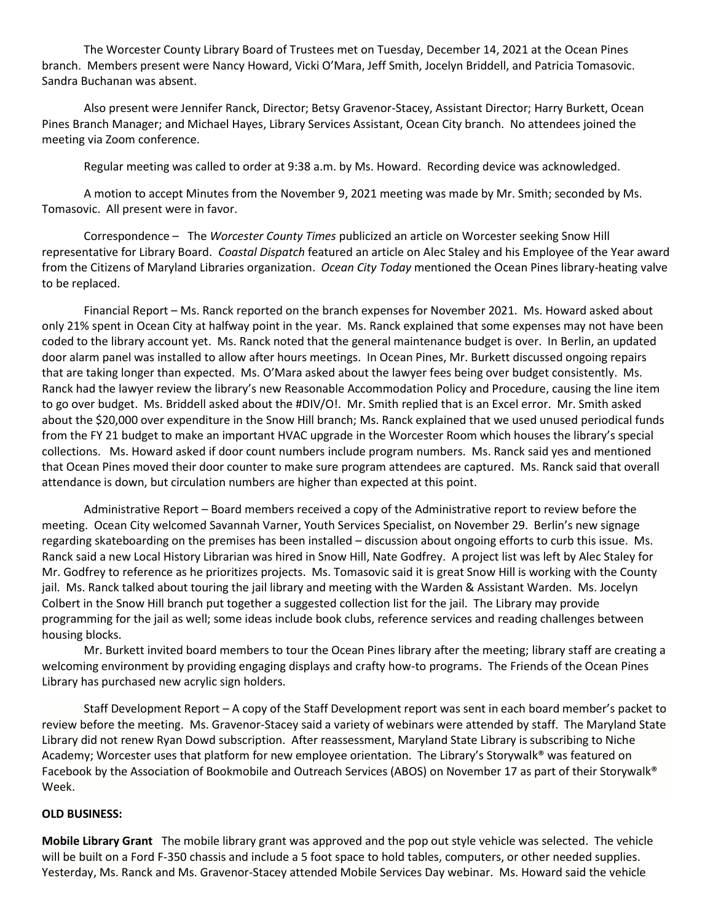The Worcester County Library Board of Trustees met on Tuesday, December 14, 2021 at the Ocean Pines branch. Members present were Nancy Howard, Vicki O'Mara, Jeff Smith, Jocelyn Briddell, and Patricia Tomasovic. Sandra Buchanan was absent.

Also present were Jennifer Ranck, Director; Betsy Gravenor-Stacey, Assistant Director; Harry Burkett, Ocean Pines Branch Manager; and Michael Hayes, Library Services Assistant, Ocean City branch. No attendees joined the meeting via Zoom conference.

Regular meeting was called to order at 9:38 a.m. by Ms. Howard. Recording device was acknowledged.

A motion to accept Minutes from the November 9, 2021 meeting was made by Mr. Smith; seconded by Ms. Tomasovic. All present were in favor.

Correspondence – The *Worcester County Times* publicized an article on Worcester seeking Snow Hill representative for Library Board. *Coastal Dispatch* featured an article on Alec Staley and his Employee of the Year award from the Citizens of Maryland Libraries organization. *Ocean City Today* mentioned the Ocean Pines library-heating valve to be replaced.

Financial Report – Ms. Ranck reported on the branch expenses for November 2021. Ms. Howard asked about only 21% spent in Ocean City at halfway point in the year. Ms. Ranck explained that some expenses may not have been coded to the library account yet. Ms. Ranck noted that the general maintenance budget is over. In Berlin, an updated door alarm panel was installed to allow after hours meetings. In Ocean Pines, Mr. Burkett discussed ongoing repairs that are taking longer than expected. Ms. O'Mara asked about the lawyer fees being over budget consistently. Ms. Ranck had the lawyer review the library's new Reasonable Accommodation Policy and Procedure, causing the line item to go over budget. Ms. Briddell asked about the #DIV/O!. Mr. Smith replied that is an Excel error. Mr. Smith asked about the \$20,000 over expenditure in the Snow Hill branch; Ms. Ranck explained that we used unused periodical funds from the FY 21 budget to make an important HVAC upgrade in the Worcester Room which houses the library's special collections. Ms. Howard asked if door count numbers include program numbers. Ms. Ranck said yes and mentioned that Ocean Pines moved their door counter to make sure program attendees are captured. Ms. Ranck said that overall attendance is down, but circulation numbers are higher than expected at this point.

Administrative Report – Board members received a copy of the Administrative report to review before the meeting. Ocean City welcomed Savannah Varner, Youth Services Specialist, on November 29. Berlin's new signage regarding skateboarding on the premises has been installed – discussion about ongoing efforts to curb this issue. Ms. Ranck said a new Local History Librarian was hired in Snow Hill, Nate Godfrey. A project list was left by Alec Staley for Mr. Godfrey to reference as he prioritizes projects. Ms. Tomasovic said it is great Snow Hill is working with the County jail. Ms. Ranck talked about touring the jail library and meeting with the Warden & Assistant Warden. Ms. Jocelyn Colbert in the Snow Hill branch put together a suggested collection list for the jail. The Library may provide programming for the jail as well; some ideas include book clubs, reference services and reading challenges between housing blocks.

Mr. Burkett invited board members to tour the Ocean Pines library after the meeting; library staff are creating a welcoming environment by providing engaging displays and crafty how-to programs. The Friends of the Ocean Pines Library has purchased new acrylic sign holders.

Staff Development Report – A copy of the Staff Development report was sent in each board member's packet to review before the meeting. Ms. Gravenor-Stacey said a variety of webinars were attended by staff. The Maryland State Library did not renew Ryan Dowd subscription. After reassessment, Maryland State Library is subscribing to Niche Academy; Worcester uses that platform for new employee orientation. The Library's Storywalk® was featured on Facebook by the Association of Bookmobile and Outreach Services (ABOS) on November 17 as part of their Storywalk® Week.

## **OLD BUSINESS:**

**Mobile Library Grant** The mobile library grant was approved and the pop out style vehicle was selected. The vehicle will be built on a Ford F-350 chassis and include a 5 foot space to hold tables, computers, or other needed supplies. Yesterday, Ms. Ranck and Ms. Gravenor-Stacey attended Mobile Services Day webinar. Ms. Howard said the vehicle